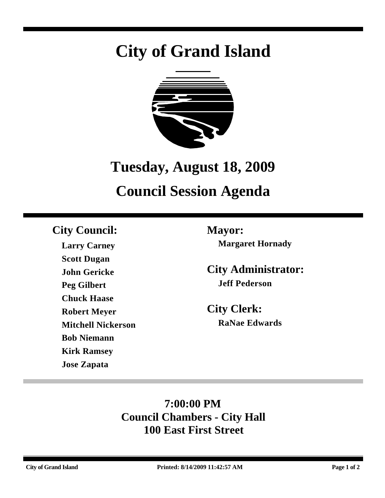# **City of Grand Island**



## **Tuesday, August 18, 2009**

## **Council Session Agenda**

### **City Council: Mayor:**

**Larry Carney Scott Dugan John Gericke Peg Gilbert Chuck Haase Robert Meyer Mitchell Nickerson Bob Niemann Kirk Ramsey Jose Zapata**

**Margaret Hornady**

**City Administrator: Jeff Pederson**

**City Clerk: RaNae Edwards**

### **7:00:00 PM Council Chambers - City Hall 100 East First Street**